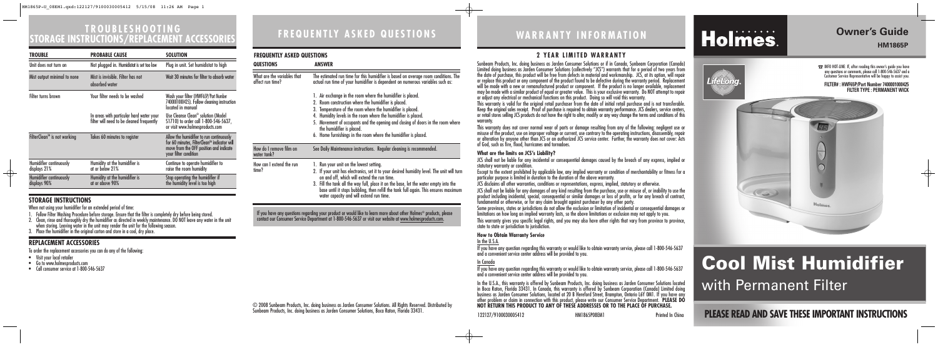# **FREQUENTLY ASKED QUESTIONS TROUBLESHOOTING STORAGE INSTRUCTIONS/REPLACEMENT ACCESSORIES**

**PLEASE READ AND SAVE THESE IMPORTANT INSTRUCTIONS**

## **Owner's Guide HM1865P**

↔

# **WARRANTY INFORMATION**

122127/9100030005412 HM1865P08EM1 Printed In China

# Holmes.

# **Cool Mist Humidifier** with Permanent Filter

© 2008 Sunbeam Products, Inc. doing business as Jarden Consumer Solutions. All Rights Reserved. Distributed by Sunbeam Products, Inc. doing business as Jarden Consumer Solutions, Boca Raton, Florida 33431.

### **2 YEAR LIMITED WARRANTY**

Sunbeam Products, Inc. doing business as Jarden Consumer Solutions or if in Canada, Sunbeam Corporation (Canada) Limited doing business as Jarden Consumer Solutions (collectively "JCS") warrants that for a period of two years from the date of purchase, this product will be free from defects in material and workmanship. JCS, at its option, will repair or replace this product or any component of the product found to be defective during the warranty period. Replacement will be made with a new or remanufactured product or component. If the product is no longer available, replacement may be made with a similar product of equal or greater value. This is your exclusive warranty. Do NOT attempt to repair or adjust any electrical or mechanical functions on this product. Doing so will void this warranty.

This warranty is valid for the original retail purchaser from the date of initial retail purchase and is not transferable. Keep the original sales receipt. Proof of purchase is required to obtain warranty performance. JCS dealers, service centers, or retail stores selling JCS products do not have the right to alter, modify or any way change the terms and conditions of this

This warranty gives you specific legal rights, and you may also have other rights that vary from province to province, state to state or jurisdiction to jurisdiction.

warranty.

 $\rightarrow$ 

statutory warranty or condition.

This warranty does not cover normal wear of parts or damage resulting from any of the following: negligent use or misuse of the product, use on improper voltage or current, use contrary to the operating instructions, disassembly, repair or alteration by anyone other than JCS or an authorized JCS service center. Further, the warranty does not cover: Acts of God, such as fire, flood, hurricanes and tornadoes.

#### **What are the limits on JCS's Liability?**

JCS shall not be liable for any incidental or consequential damages caused by the breach of any express, implied or

Except to the extent prohibited by applicable law, any implied warranty or condition of merchantability or fitness for a particular purpose is limited in duration to the duration of the above warranty.

- Visit your local retailer
- Go to www.holmesproducts.com
- Call consumer service at 1-800-546-5637

JCS disclaims all other warranties, conditions or representations, express, implied, statutory or otherwise.

JCS shall not be liable for any damages of any kind resulting from the purchase, use or misuse of, or inability to use the product including incidental, special, consequential or similar damages or loss of profits, or for any breach of contract, fundamental or otherwise, or for any claim brought against purchaser by any other party.

Some provinces, states or jurisdictions do not allow the exclusion or limitation of incidental or consequential damages or limitations on how long an implied warranty lasts, so the above limitations or exclusion may not apply to you.

#### **How to Obtain Warranty Service**

In the U.S.A.

If you have any question regarding this warranty or would like to obtain warranty service, please call 1-800-546-5637 and a convenient service center address will be provided to you.

In Canada If you have any question regarding this warranty or would like to obtain warranty service, please call 1-800-546-5637 and a convenient service center address will be provided to you.

If you have any questions regarding your product or would like to learn more about other Holmes® products, please contact our Consumer Service Department at 1-800-546-5637 or visit our website at <u>www.holmesproducts.com</u>.

> In the U.S.A., this warranty is offered by Sunbeam Products, Inc. doing business as Jarden Consumer Solutions located in Boca Raton, Florida 33431. In Canada, this warranty is offered by Sunbeam Corporation (Canada) Limited doing business as Jarden Consumer Solutions, located at 20 B Hereford Street, Brampton, Ontario L6Y OM1. If you have any<br>other problem or claim in connection with this product, please write our Consumer Service Department. **PLE NOT RETURN THIS PRODUCT TO ANY OF THESE ADDRESSES OR TO THE PLACE OF PURCHASE.**

### **STORAGE INSTRUCTIONS**

 $\oplus$ 

When not using your humidifier for an extended period of time:

1. Follow Filter Washing Procedure before storage. Ensure that the filter is completely dry before being stored.



- 2. Clean, rinse and thoroughly dry the humidifier as directed in weekly maintenance. DO NOT leave any water in the unit when storing. Leaving water in the unit may render the unit for the following season.
- 3. Place the humidifier in the original carton and store in a cool, dry place.

### **REPLACEMENT ACCESSORIES**

To order the replacement accessories you can do any of the following:

| TROUBLE                                 | <b>PROBABLE CAUSE</b>                                                                 | <b>SOLUTION</b>                                                                                                                                             |
|-----------------------------------------|---------------------------------------------------------------------------------------|-------------------------------------------------------------------------------------------------------------------------------------------------------------|
| Unit does not turn on                   | Not plugged in. Humidistat is set too low                                             | Plug in unit. Set humidistat to high                                                                                                                        |
| Mist output minimal to none             | Mist is invisible. Filter has not<br>absorbed water                                   | Wait 30 minutes for filter to absorb water                                                                                                                  |
| Filter turns brown                      | Your filter needs to be washed                                                        | Wash your filter (HWF65P/Part Number<br>7400001000425). Follow cleaning instruction<br>located in manual                                                    |
|                                         | In areas with particular hard water your<br>filter will need to be cleaned frequently | Use Cleanse Clean <sup>®</sup> solution (Model<br>S1710) to order call 1-800-546-5637,<br>or visit www.holmesproducts.com                                   |
| FilterClean <sup>™</sup> is not working | Takes 60 minutes to register                                                          | Allow the humidifier to run continuously<br>for 60 minutes, FilterClean™ indicator will<br>move from the OFF position and indicate<br>your filter condition |
| Humidifier continuously<br>displays 21% | Humidity at the humidifier is<br>at or below 21%                                      | Continue to operate humidifier to<br>raise the room humidity                                                                                                |
| Humidifier continuously<br>displays 90% | Humidity at the humidifier is<br>at or above 90%                                      | Stop operating the humidifier if<br>the humidity level is too high                                                                                          |

#### **FREQUENTLY ASKED QUESTIONS**

| <b>QUESTIONS</b>                                | <b>ANSWER</b>                                                                                                                                                                                                                                                                                                                                                                                                                          |  |
|-------------------------------------------------|----------------------------------------------------------------------------------------------------------------------------------------------------------------------------------------------------------------------------------------------------------------------------------------------------------------------------------------------------------------------------------------------------------------------------------------|--|
| What are the variables that<br>affect run time? | The estimated run time for this humidifier is based on average room conditions. The<br>actual run time of your humidifier is dependent on numerous variables such as:                                                                                                                                                                                                                                                                  |  |
|                                                 | 1. Air exchange in the room where the humidifier is placed.<br>2. Room construction where the humidifier is placed.<br>3. Temperature of the room where the humidifier is placed.<br>4. Humidity levels in the room where the humidifier is placed.<br>5. Movement of occupants and the opening and closing of doors in the room where<br>the humidifier is placed.<br>6. Home furnishings in the room where the humidifier is placed. |  |
| How do I remove film on<br>water tank?          | See Daily Maintenance instructions. Regular cleaning is recommended.                                                                                                                                                                                                                                                                                                                                                                   |  |
| How can I extend the run<br>time?               | 1. Run your unit on the lowest setting.<br>2. If your unit has electronics, set it to your desired humidity level. The unit will turn<br>on and off, which will extend the run time.<br>3. Fill the tank all the way full, place it on the base, let the water empty into the<br>base until it stops bubbling, then refill the tank full again. This ensures maximum<br>water capacity and will extend run time.                       |  |